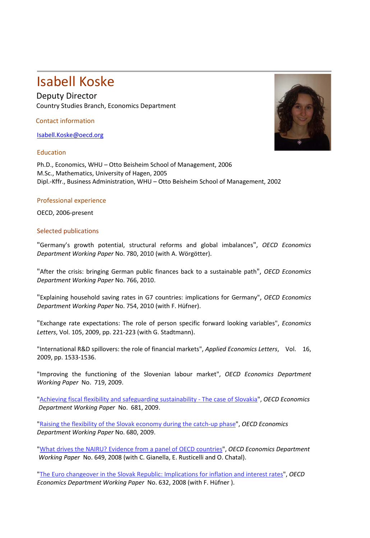## Isabell Koske

Deputy Director Country Studies Branch, Economics Department

Contact information

[Isabell.Koske@oecd.org](mailto:Isabell.Koske@oecd.org)

## Education

Ph.D., Economics, WHU – Otto Beisheim School of Management, 2006 M.Sc., Mathematics, University of Hagen, 2005 Dipl.‐Kffr., Business Administration, WHU – Otto Beisheim School of Management, 2002

## Professional experience

OECD, 2006‐present

## Selected publications

"Germany's growth potential, structural reforms and global imbalances", *OECD Economics Department Working Paper* No. 780, 2010 (with A. Wörgötter).

"After the crisis: bringing German public finances back to a sustainable path", *OECD Economics Department Working Paper* No. 766, 2010.

"Explaining household saving rates in G7 countries: implications for Germany", *OECD Economics Department Working Paper* No. 754, 2010 (with F. Hüfner).

["Exchange rate expectations: The role of person specific forward looking variables"](http://ideas.repec.org/a/eee/ecolet/v105y2009i3p221-223.html), *[Economics](http://ideas.repec.org/s/eee/ecolet.html)  [Letters](http://ideas.repec.org/s/eee/ecolet.html)*, Vol. 105, 2009, pp. 221-223 (with G. Stadtmann).

"International R&D spillovers: the role of financial markets", *Applied Economics Letters*, Vol. 16, 2009, pp. 1533-1536.

["Improving the functioning of the Slovenian labour market"](http://ideas.repec.org/p/oec/ecoaaa/719-en.html), *OECD Economics Department [Working](http://ideas.repec.org/s/oec/ecoaaa.html) Paper* No. 719, 2009.

"Achieving fiscal flexibility and safeguarding [sustainability](http://www.olis.oecd.org/olis/2009doc.nsf/linkto/eco-wkp(2009)22) ‐ The case of Slovakia", *OECD [Economics](http://ideas.repec.org/s/oec/ecoaaa.html) [Department](http://ideas.repec.org/s/oec/ecoaaa.html) Working Paper* No. 681, 2009.

"Raising the flexibility of the Slovak [economy](http://www.olis.oecd.org/olis/2009doc.nsf/linkto/eco-wkp(2009)21) during the catch‐up phase", *OECD [Economics](http://ideas.repec.org/s/oec/ecoaaa.html) [Department](http://ideas.repec.org/s/oec/ecoaaa.html) Working Paper* No. 680, 2009.

"What drives the NAIRU? Evidence from a panel of OECD [countries"](http://www.olis.oecd.org/olis/2008doc.nsf/linkto/eco-wkp(2008)57), *OECD Economics [Department](http://ideas.repec.org/s/oec/ecoaaa.html) [Working](http://ideas.repec.org/s/oec/ecoaaa.html) Paper* No. 649, 2008 (with C. Gianella, E. Rusticelli and O. Chatal).

"The Euro changeover in the Slovak Republic: [Implications](http://www.olis.oecd.org/olis/2008doc.nsf/linkto/eco-wkp(2008)40) for inflation and interest rates", *[OECD](http://ideas.repec.org/s/oec/ecoaaa.html) Economics [Department](http://ideas.repec.org/s/oec/ecoaaa.html) Working Paper* No. 632, 2008 (with F. Hüfner ).